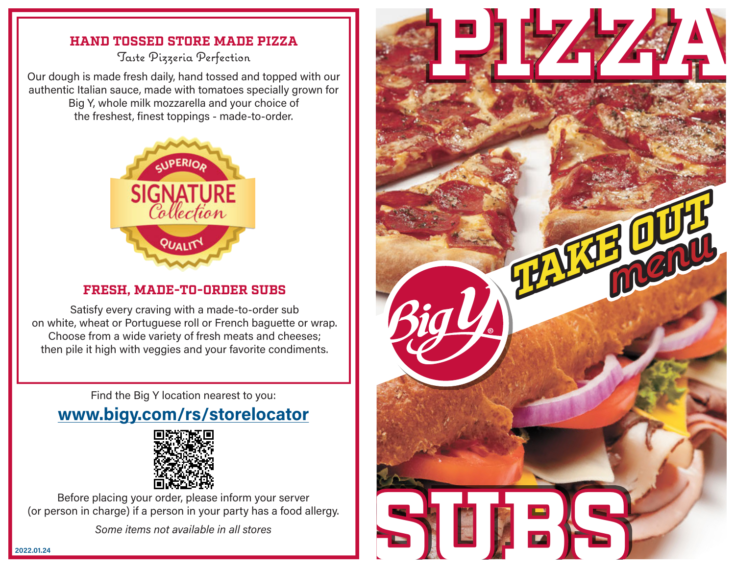## **HAND TOSSED STORE MADE PIZZA**

Taste Pizzeria Perfection

Our dough is made fresh daily, hand tossed and topped with our authentic Italian sauce, made with tomatoes specially grown for Big Y, whole milk mozzarella and your choice of the freshest, finest toppings - made-to-order.



## **FRESH, MADE-TO-ORDER SUBS**

Satisfy every craving with a made-to-order sub on white, wheat or Portuguese roll or French baguette or wrap. Choose from a wide variety of fresh meats and cheeses; then pile it high with veggies and your favorite condiments.

Find the Big Y location nearest to you:

## **www.bigy.com/rs/storelocator**



Before placing your order, please inform your server (or person in charge) if a person in your party has a food allergy.

*Some items not available in all stores*